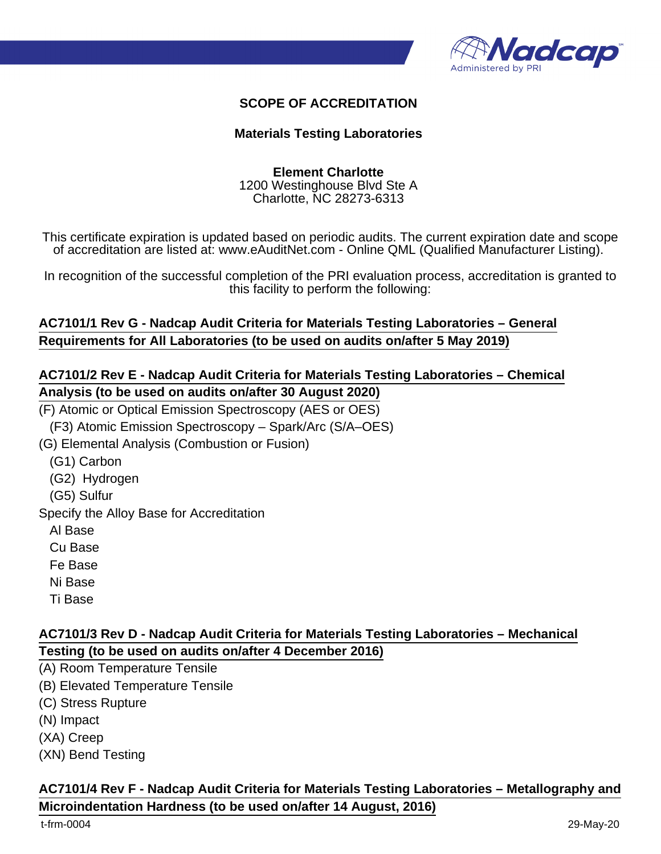

#### **SCOPE OF ACCREDITATION**

#### **Materials Testing Laboratories**

#### **Element Charlotte** 1200 Westinghouse Blvd Ste A Charlotte, NC 28273-6313

This certificate expiration is updated based on periodic audits. The current expiration date and scope of accreditation are listed at: www.eAuditNet.com - Online QML (Qualified Manufacturer Listing).

In recognition of the successful completion of the PRI evaluation process, accreditation is granted to this facility to perform the following:

#### **AC7101/1 Rev G - Nadcap Audit Criteria for Materials Testing Laboratories – General Requirements for All Laboratories (to be used on audits on/after 5 May 2019)**

#### **AC7101/2 Rev E - Nadcap Audit Criteria for Materials Testing Laboratories – Chemical Analysis (to be used on audits on/after 30 August 2020)**

(F) Atomic or Optical Emission Spectroscopy (AES or OES)

(F3) Atomic Emission Spectroscopy – Spark/Arc (S/A–OES)

(G) Elemental Analysis (Combustion or Fusion)

- (G1) Carbon
- (G2) Hydrogen
- (G5) Sulfur

Specify the Alloy Base for Accreditation

Al Base

- Cu Base
- Fe Base

Ni Base

Ti Base

## **AC7101/3 Rev D - Nadcap Audit Criteria for Materials Testing Laboratories – Mechanical Testing (to be used on audits on/after 4 December 2016)**

- (A) Room Temperature Tensile
- (B) Elevated Temperature Tensile
- (C) Stress Rupture

(N) Impact

(XA) Creep

(XN) Bend Testing

## **AC7101/4 Rev F - Nadcap Audit Criteria for Materials Testing Laboratories – Metallography and Microindentation Hardness (to be used on/after 14 August, 2016)**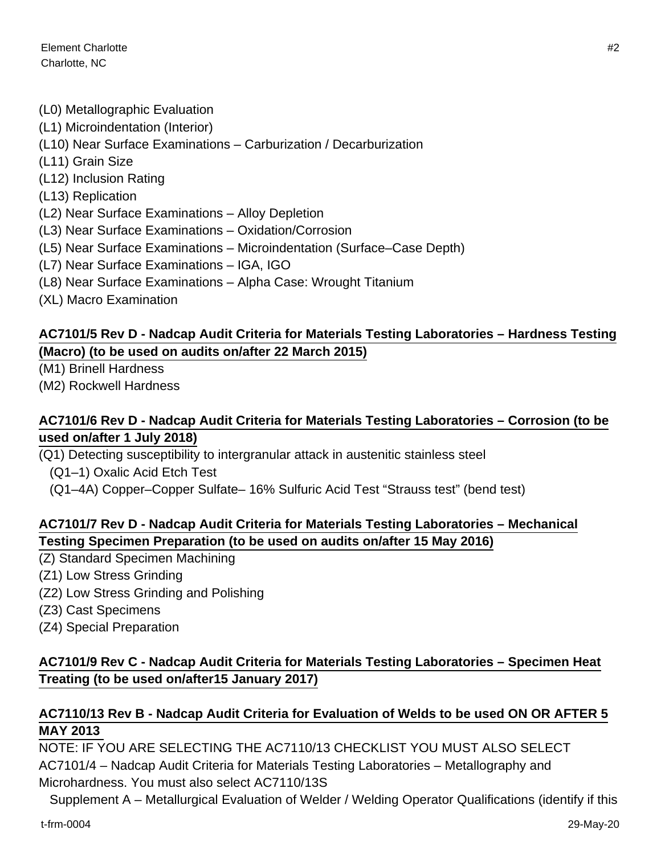Element Charlotte #2 Charlotte, NC

- (L0) Metallographic Evaluation
- (L1) Microindentation (Interior)
- (L10) Near Surface Examinations Carburization / Decarburization
- (L11) Grain Size
- (L12) Inclusion Rating
- (L13) Replication
- (L2) Near Surface Examinations Alloy Depletion
- (L3) Near Surface Examinations Oxidation/Corrosion
- (L5) Near Surface Examinations Microindentation (Surface–Case Depth)
- (L7) Near Surface Examinations IGA, IGO
- (L8) Near Surface Examinations Alpha Case: Wrought Titanium
- (XL) Macro Examination

## **AC7101/5 Rev D - Nadcap Audit Criteria for Materials Testing Laboratories – Hardness Testing (Macro) (to be used on audits on/after 22 March 2015)**

(M1) Brinell Hardness

(M2) Rockwell Hardness

#### **AC7101/6 Rev D - Nadcap Audit Criteria for Materials Testing Laboratories – Corrosion (to be used on/after 1 July 2018)**

(Q1) Detecting susceptibility to intergranular attack in austenitic stainless steel

- (Q1–1) Oxalic Acid Etch Test
- (Q1–4A) Copper–Copper Sulfate– 16% Sulfuric Acid Test "Strauss test" (bend test)

## **AC7101/7 Rev D - Nadcap Audit Criteria for Materials Testing Laboratories – Mechanical Testing Specimen Preparation (to be used on audits on/after 15 May 2016)**

- (Z) Standard Specimen Machining
- (Z1) Low Stress Grinding
- (Z2) Low Stress Grinding and Polishing
- (Z3) Cast Specimens
- (Z4) Special Preparation

## **AC7101/9 Rev C - Nadcap Audit Criteria for Materials Testing Laboratories – Specimen Heat Treating (to be used on/after15 January 2017)**

## **AC7110/13 Rev B - Nadcap Audit Criteria for Evaluation of Welds to be used ON OR AFTER 5 MAY 2013**

NOTE: IF YOU ARE SELECTING THE AC7110/13 CHECKLIST YOU MUST ALSO SELECT AC7101/4 – Nadcap Audit Criteria for Materials Testing Laboratories – Metallography and Microhardness. You must also select AC7110/13S

Supplement A – Metallurgical Evaluation of Welder / Welding Operator Qualifications (identify if this